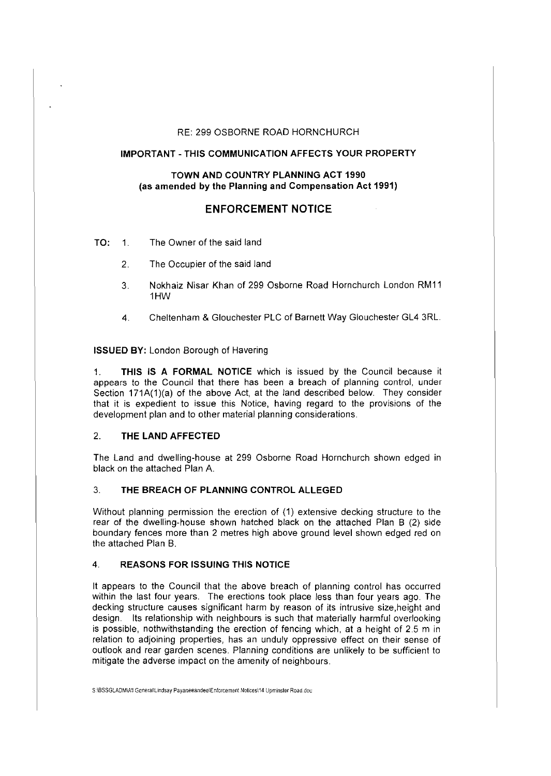### RE: 299 OSBORNE ROAD HORNCHURCH

## **IMPORTANT-THIS COMMUNICATION AFFECTS YOUR PROPERTY**

## **TOWN AND COUNTRY PLANNING ACT 1990 (as amended by the Planning and Compensation Act 1991)**

# **ENFORCEMENT NOTICE**

- **TO:** 1. The Owner of the said land
	- 2. The Occupier of the said land
	- 3. Nokhaiz Nisar Khan of 299 Osborne Road Hornchurch London RM11 1HW
	- 4. Cheltenham & Glouchester PLC of Barnett Way Glouchester GL4 3RL.

**ISSUED BY:** London Borough of Havering

1. **THIS IS A FORMAL NOTICE** which is issued by the Council because it appears to the Council that there has been a breach of planning control, under Section  $171A(1)(a)$  of the above Act, at the land described below. They consider that it is expedient to issue this Notice, having regard to the provisions of the development plan and to other material planning considerations.

## 2. **THE LAND AFFECTED**

The Land and dwelling-house at 299 Osborne Road Hornchurch shown edged in black on the attached Plan A.

# 3. **THE BREACH OF PLANNING CONTROL ALLEGED**

Without planning permission the erection of (1) extensive decking structure to the rear of the dwelling-house shown hatched black on the attached Plan B (2) side boundary fences more than 2 metres high above ground level shown edged red on the attached Plan B.

### 4. **REASONS FOR ISSUING THIS NOTICE**

It appears to the Council that the above breach of planning control has occurred within the last four years. The erections took place less than four years ago. The decking structure causes significant harm by reason of its intrusive size.height and design. Its relationship with neighbours is such that materially harmful overlooking is possible, nothwithstanding the erection of fencing which, at a height of 2.5 m in relation to adjoining properties, has an unduly oppressive effect on their sense of outlook and rear garden scenes. Planning conditions are unlikely to be sufficient to mitigate the adverse impact on the amenity of neighbours.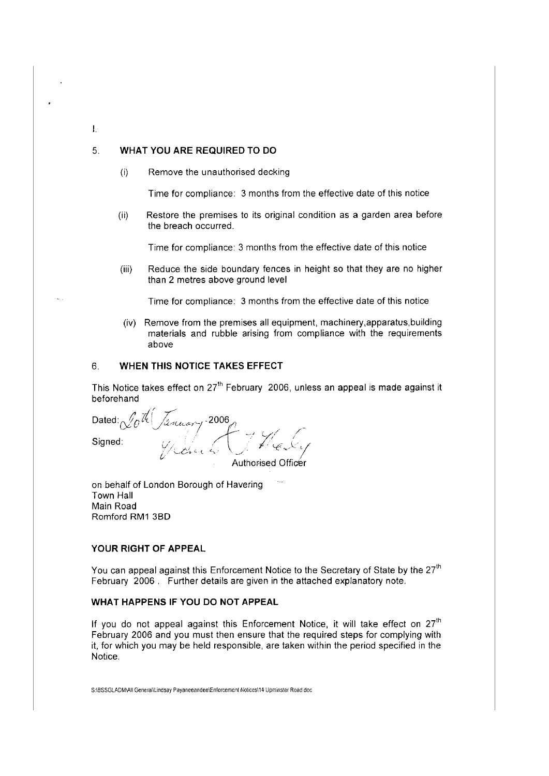## 5. **WHAT YOU ARE REQUIRED TO DO**

 $\mathbf{I}$ .

(i) Remove the unauthorised decking

Time for compliance: 3 months from the effective date of this notice

(ii) Restore the premises to its original condition as a garden area before the breach occurred.

Time for compliance: 3 months from the effective date of this notice

(iii) Reduce the side boundary fences in height so that they are no higher than 2 metres above ground level

Time for compliance: 3 months from the effective date of this notice

(iv) Remove from the premises all equipment, machinery,apparatus,building materials and rubble arising from compliance with the requirements above

## 6. **WHEN THIS NOTICE TAKES EFFECT**

This Notice takes effect on 27<sup>th</sup> February 2006, unless an appeal is made against it beforehand

Dated:  $\chi_0^{\mu_0}/\chi_{n\mu_0\sigma\gamma}$  , 2006  $Signed:$   $\begin{equation} \begin{equation} \mathcal{L} \rightarrow \mathcal{L} \rightarrow \mathcal{L} \rightarrow \mathcal{L} \rightarrow \mathcal{L} \rightarrow \mathcal{L} \rightarrow \mathcal{L} \rightarrow \mathcal{L} \rightarrow \mathcal{L} \rightarrow \mathcal{L} \rightarrow \mathcal{L} \rightarrow \mathcal{L} \rightarrow \mathcal{L} \rightarrow \mathcal{L} \rightarrow \mathcal{L} \rightarrow \mathcal{L} \rightarrow \mathcal{L} \rightarrow \mathcal{L} \rightarrow \mathcal{L} \rightarrow \mathcal{L} \rightarrow \mathcal{L} \rightarrow \mathcal{L} \rightarrow \mathcal{L} \rightarrow \mathcal{L} \rightarrow \mathcal{L} \rightarrow \mathcal$ 

Authorised Officer

on behalf of London Borough of Havering Town Hall Main Road Romford RM1 380

### **YOUR RIGHT OF APPEAL**

You can appeal against this Enforcement Notice to the Secretary of State by the 27<sup>th</sup> February 2006 . Further details are given in the attached explanatory note.

# **WHAT HAPPENS IF YOU DO NOT APPEAL**

If you do not appeal against this Enforcement Notice, it will take effect on  $27<sup>th</sup>$ February 2006 and you must then ensure that the required steps for complying with it, for which you may be held responsible, are taken within the period specified in the Notice.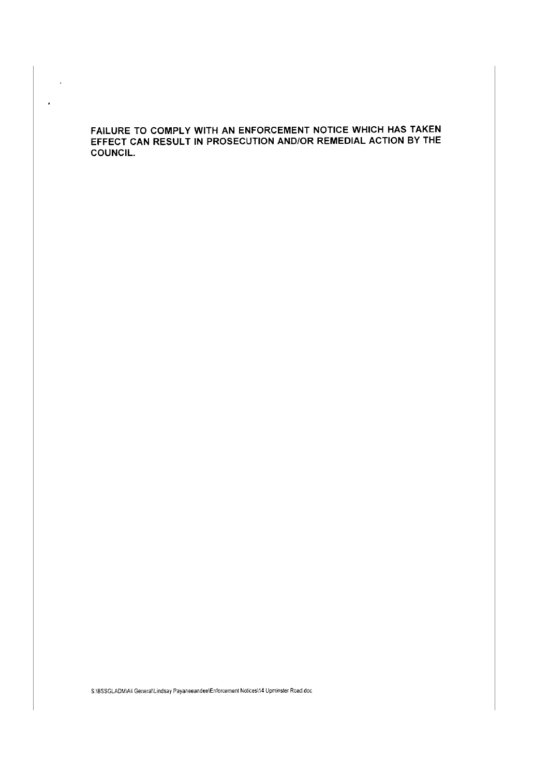FAILURE TO COMPLY WITH AN ENFORCEMENT NOTICE WHICH HAS TAKEN EFFECT CAN RESULT IN PROSECUTION AND/OR REMEDIAL ACTION BY THE COUNCIL.

 $\mathbb{R}^2$ 

 $\bar{ }$ 

S:\BSSGLADM\All Generalllindsay Payaneeandee\Enforcement Notices\14 Upminster Road.doc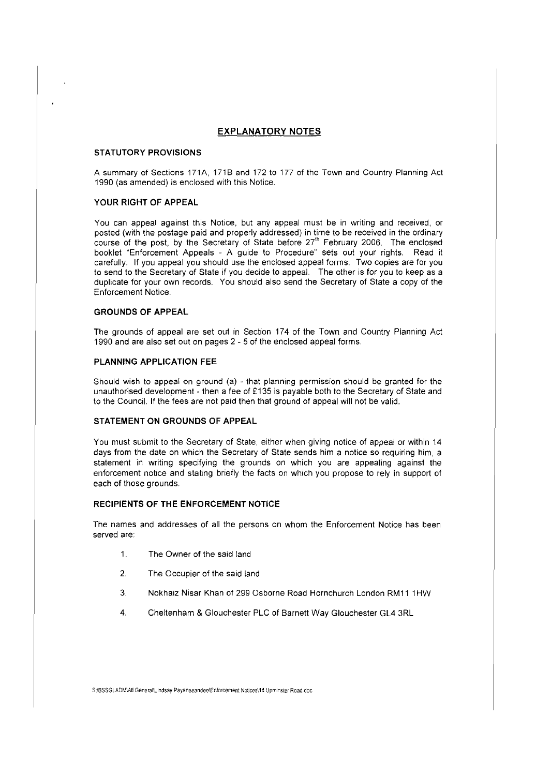## **EXPLANATORY NOTES**

#### **STATUTORY PROVISIONS**

A summary of Sections 171A, 1718 and 172 to 177 of the Town and Country Planning Act 1990 (as amended) is enclosed with this Notice.

#### **YOUR RIGHT OF APPEAL**

You can appeal against this Notice, but any appeal must be in writing and received, or posted (with the postage paid and properly addressed) in time to be received in the ordinary course of the post, by the Secretary of State before 27'h February 2006. The enclosed booklet "Enforcement Appeals - A guide to Procedure" sets out your rights. Read it carefully. If you appeal you should use the enclosed appeal forms. Two copies are for you to send to the Secretary of State if you decide to appeal. The other is for you to keep as a duplicate for your own records. You should also send the Secretary of State a copy of the Enforcement Notice.

#### **GROUNDS OF APPEAL**

The grounds of appeal are set out in Section 174 of the Town and Country Planning Act 1990 and are also set out on pages 2 - 5 of the enclosed appeal forms.

#### **PLANNING APPLICATION FEE**

Should wish to appeal on ground (a) - that planning permission should be granted for the unauthorised development - then a fee of £135 is payable both to the Secretary of State and to the Council. If the fees are not paid then that ground of appeal will not be valid.

#### **STATEMENT ON GROUNDS OF APPEAL**

You must submit to the Secretary of State, either when giving notice of appeal or within 14 days from the date on which the Secretary of State sends him a notice so requiring him, a statement in writing specifying the grounds on which you are appealing against the enforcement notice and stating briefly the facts on which you propose to rely in support of each of those grounds.

#### **RECIPIENTS OF THE ENFORCEMENT NOTICE**

The names and addresses of all the persons on whom the Enforcement Notice has been served are:

- 1. The Owner of the said land
- 2. The Occupier of the said land
- 3. Nokhaiz Nisar Khan of 299 Osborne Road Hornchurch London RM11 1HW
- 4. Cheltenham & Glouchester PLC of Barnett Way Glouchester GL4 3RL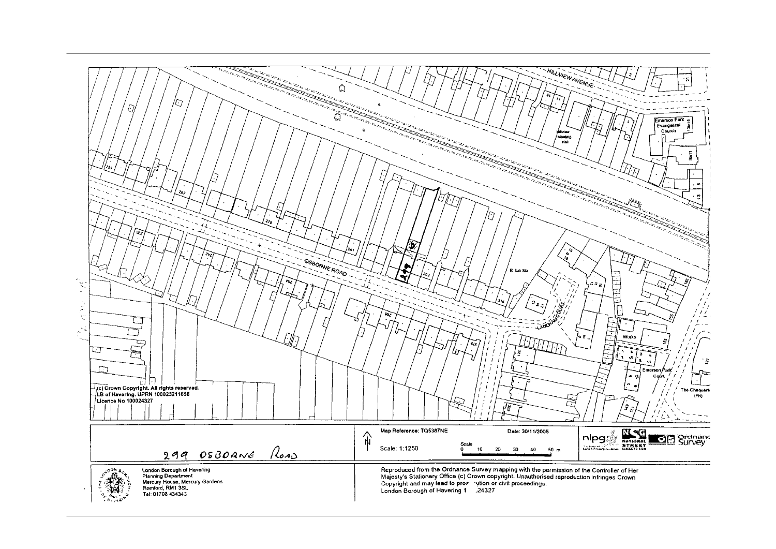